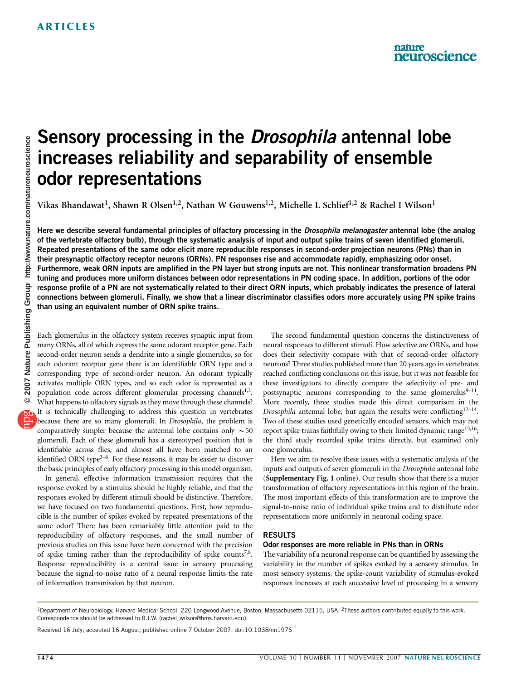# Sensory processing in the *Drosophila* antennal lobe increases reliability and separability of ensemble odor representations

Vikas Bhandawat<sup>1</sup>, Shawn R Olsen<sup>1,2</sup>, Nathan W Gouwens<sup>1,2</sup>, Michelle L Schlief<sup>1,2</sup> & Rachel I Wilson<sup>1</sup>

Here we describe several fundamental principles of olfactory processing in the Drosophila melanogaster antennal lobe (the analog of the vertebrate olfactory bulb), through the systematic analysis of input and output spike trains of seven identified glomeruli. Repeated presentations of the same odor elicit more reproducible responses in second-order projection neurons (PNs) than in their presynaptic olfactory receptor neurons (ORNs). PN responses rise and accommodate rapidly, emphasizing odor onset. Furthermore, weak ORN inputs are amplified in the PN layer but strong inputs are not. This nonlinear transformation broadens PN tuning and produces more uniform distances between odor representations in PN coding space. In addition, portions of the odor response profile of a PN are not systematically related to their direct ORN inputs, which probably indicates the presence of lateral connections between glomeruli. Finally, we show that a linear discriminator classifies odors more accurately using PN spike trains than using an equivalent number of ORN spike trains.

Each glomerulus in the olfactory system receives synaptic input from many ORNs, all of which express the same odorant receptor gene. Each second-order neuron sends a dendrite into a single glomerulus, so for each odorant receptor gene there is an identifiable ORN type and a corresponding type of second-order neuron. An odorant typically activates multiple ORN types, and so each odor is represented as a population code across different glomerular processing channels<sup>1,2</sup>. What happens to olfactory signals as they move through these channels? It is technically challenging to address this question in vertebrates because there are so many glomeruli. In Drosophila, the problem is comparatively simpler because the antennal lobe contains only  $\sim$  50 glomeruli. Each of these glomeruli has a stereotyped position that is identifiable across flies, and almost all have been matched to an identified ORN type $3-6$ . For these reasons, it may be easier to discover the basic principles of early olfactory processing in this model organism.

In general, effective information transmission requires that the response evoked by a stimulus should be highly reliable, and that the responses evoked by different stimuli should be distinctive. Therefore, we have focused on two fundamental questions. First, how reproducible is the number of spikes evoked by repeated presentations of the same odor? There has been remarkably little attention paid to the reproducibility of olfactory responses, and the small number of previous studies on this issue have been concerned with the precision of spike timing rather than the reproducibility of spike counts<sup>7,8</sup>. Response reproducibility is a central issue in sensory processing because the signal-to-noise ratio of a neural response limits the rate of information transmission by that neuron.

The second fundamental question concerns the distinctiveness of neural responses to different stimuli. How selective are ORNs, and how does their selectivity compare with that of second-order olfactory neurons? Three studies published more than 20 years ago in vertebrates reached conflicting conclusions on this issue, but it was not feasible for these investigators to directly compare the selectivity of pre- and postsynaptic neurons corresponding to the same glomerulus $9-11$ . More recently, three studies made this direct comparison in the Drosophila antennal lobe, but again the results were conflicting $12-14$ . Two of these studies used genetically encoded sensors, which may not report spike trains faithfully owing to their limited dynamic range<sup>15,16</sup>; the third study recorded spike trains directly, but examined only one glomerulus.

Here we aim to resolve these issues with a systematic analysis of the inputs and outputs of seven glomeruli in the Drosophila antennal lobe (Supplementary Fig. 1 online). Our results show that there is a major transformation of olfactory representations in this region of the brain. The most important effects of this transformation are to improve the signal-to-noise ratio of individual spike trains and to distribute odor representations more uniformly in neuronal coding space.

# RESULTS

## Odor responses are more reliable in PNs than in ORNs

The variability of a neuronal response can be quantified by assessing the variability in the number of spikes evoked by a sensory stimulus. In most sensory systems, the spike-count variability of stimulus-evoked responses increases at each successive level of processing in a sensory

Received 16 July; accepted 16 August; published online 7 October 2007; [doi:10.1038/nn1976](http://www.nature.com/doifinder/10.1038/nn1976)

<sup>&</sup>lt;sup>1</sup>Department of Neurobiology, Harvard Medical School, 220 Longwood Avenue, Boston, Massachusetts 02115, USA. <sup>2</sup>These authors contributed equally to this work. Correspondence should be addressed to R.I.W. [\(rachel\\_wilson@hms.harvard.edu](mailto:rachel_wilson@hms.harvard.edu)).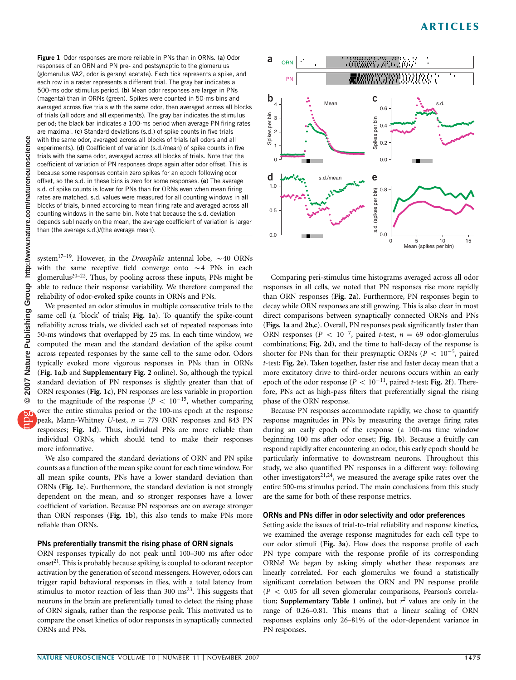Figure 1 Odor responses are more reliable in PNs than in ORNs. (a) Odor **a** responses of an ORN and PN pre- and postsynaptic to the glomerulus (glomerulus VA2, odor is geranyl acetate). Each tick represents a spike, and each row in a raster represents a different trial. The gray bar indicates a 500-ms odor stimulus period. (b) Mean odor responses are larger in PNs (magenta) than in ORNs (green). Spikes were counted in 50-ms bins and averaged across five trials with the same odor, then averaged across all blocks of trials (all odors and all experiments). The gray bar indicates the stimulus period; the black bar indicates a 100-ms period when average PN firing rates are maximal. (c) Standard deviations (s.d.) of spike counts in five trials with the same odor, averaged across all blocks of trials (all odors and all experiments). (d) Coefficient of variation (s.d./mean) of spike counts in five trials with the same odor, averaged across all blocks of trials. Note that the coefficient of variation of PN responses drops again after odor offset. This is because some responses contain zero spikes for an epoch following odor offset, so the s.d. in these bins is zero for some responses. (e) The average s.d. of spike counts is lower for PNs than for ORNs even when mean firing rates are matched. s.d. values were measured for all counting windows in all blocks of trials, binned according to mean firing rate and averaged across all counting windows in the same bin. Note that because the s.d. deviation depends sublinearly on the mean, the average coefficient of variation is larger than (the average s.d.)/(the average mean).

system<sup>17–19</sup>. However, in the *Drosophila* antennal lobe,  $\sim$  40 ORNs with the same receptive field converge onto  $\sim$  4 PNs in each glomerulus<sup>20–22</sup>. Thus, by pooling across these inputs, PNs might be able to reduce their response variability. We therefore compared the reliability of odor-evoked spike counts in ORNs and PNs.

We presented an odor stimulus in multiple consecutive trials to the same cell (a 'block' of trials; Fig. 1a). To quantify the spike-count reliability across trials, we divided each set of repeated responses into 50-ms windows that overlapped by 25 ms. In each time window, we computed the mean and the standard deviation of the spike count across repeated responses by the same cell to the same odor. Odors typically evoked more vigorous responses in PNs than in ORNs (Fig. 1a,b and Supplementary Fig. 2 online). So, although the typical standard deviation of PN responses is slightly greater than that of ORN responses (Fig. 1c), PN responses are less variable in proportion to the magnitude of the response ( $P < 10^{-15}$ , whether comparing over the entire stimulus period or the 100-ms epoch at the response peak, Mann-Whitney U-test,  $n = 779$  ORN responses and 843 PN responses; Fig. 1d). Thus, individual PNs are more reliable than individual ORNs, which should tend to make their responses more informative.

We also compared the standard deviations of ORN and PN spike counts as a function of the mean spike count for each time window. For all mean spike counts, PNs have a lower standard deviation than ORNs (Fig. 1e). Furthermore, the standard deviation is not strongly dependent on the mean, and so stronger responses have a lower coefficient of variation. Because PN responses are on average stronger than ORN responses (Fig. 1b), this also tends to make PNs more reliable than ORNs.

#### PNs preferentially transmit the rising phase of ORN signals

ORN responses typically do not peak until 100–300 ms after odor onset<sup>21</sup>. This is probably because spiking is coupled to odorant receptor activation by the generation of second messengers. However, odors can trigger rapid behavioral responses in flies, with a total latency from stimulus to motor reaction of less than  $300 \text{ ms}^{23}$ . This suggests that neurons in the brain are preferentially tuned to detect the rising phase of ORN signals, rather than the response peak. This motivated us to compare the onset kinetics of odor responses in synaptically connected ORNs and PNs.



Comparing peri-stimulus time histograms averaged across all odor responses in all cells, we noted that PN responses rise more rapidly than ORN responses (Fig. 2a). Furthermore, PN responses begin to decay while ORN responses are still growing. This is also clear in most direct comparisons between synaptically connected ORNs and PNs (Figs. 1a and 2b,c). Overall, PN responses peak significantly faster than ORN responses ( $P < 10^{-7}$ , paired t-test,  $n = 69$  odor-glomerulus combinations; Fig. 2d), and the time to half-decay of the response is shorter for PNs than for their presynaptic ORNs ( $P < 10^{-5}$ , paired  $t$ -test; Fig. 2e). Taken together, faster rise and faster decay mean that a more excitatory drive to third-order neurons occurs within an early epoch of the odor response ( $P < 10^{-11}$ , paired t-test; Fig. 2f). Therefore, PNs act as high-pass filters that preferentially signal the rising phase of the ORN response.

Because PN responses accommodate rapidly, we chose to quantify response magnitudes in PNs by measuring the average firing rates during an early epoch of the response (a 100-ms time window beginning 100 ms after odor onset; Fig. 1b). Because a fruitfly can respond rapidly after encountering an odor, this early epoch should be particularly informative to downstream neurons. Throughout this study, we also quantified PN responses in a different way: following other investigators<sup>21,24</sup>, we measured the average spike rates over the entire 500-ms stimulus period. The main conclusions from this study are the same for both of these response metrics.

#### ORNs and PNs differ in odor selectivity and odor preferences

Setting aside the issues of trial-to-trial reliability and response kinetics, we examined the average response magnitudes for each cell type to our odor stimuli (Fig. 3a). How does the response profile of each PN type compare with the response profile of its corresponding ORNs? We began by asking simply whether these responses are linearly correlated. For each glomerulus we found a statistically significant correlation between the ORN and PN response profile  $(P < 0.05$  for all seven glomerular comparisons, Pearson's correlation; Supplementary Table 1 online), but  $r^2$  values are only in the range of 0.26–0.81. This means that a linear scaling of ORN responses explains only 26–81% of the odor-dependent variance in PN responses.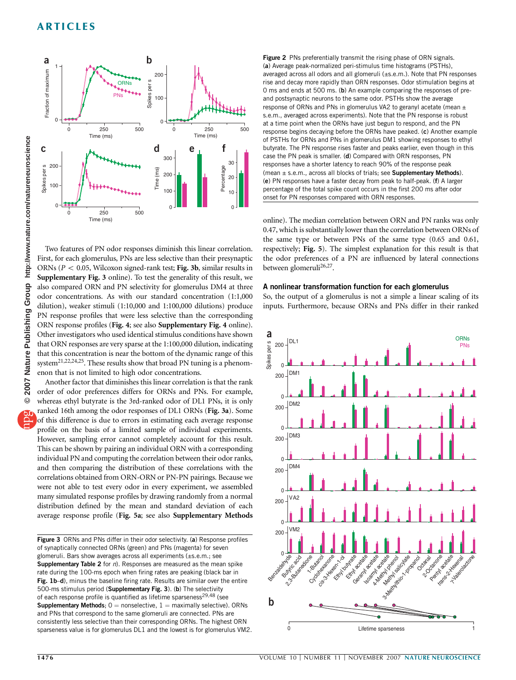

Two features of PN odor responses diminish this linear correlation. First, for each glomerulus, PNs are less selective than their presynaptic ORNs ( $P < 0.05$ , Wilcoxon signed-rank test; Fig. 3b, similar results in Supplementary Fig. 3 online). To test the generality of this result, we also compared ORN and PN selectivity for glomerulus DM4 at three odor concentrations. As with our standard concentration (1:1,000 dilution), weaker stimuli (1:10,000 and 1:100,000 dilutions) produce PN response profiles that were less selective than the corresponding ORN response profiles (Fig. 4; see also Supplementary Fig. 4 online). Other investigators who used identical stimulus conditions have shown that ORN responses are very sparse at the 1:100,000 dilution, indicating that this concentration is near the bottom of the dynamic range of this system<sup>[21,22,24,25](#page-8-0)</sup>. These results show that broad PN tuning is a phenomenon that is not limited to high odor concentrations.

Another factor that diminishes this linear correlation is that the rank order of odor preferences differs for ORNs and PNs. For example, whereas ethyl butyrate is the 3rd-ranked odor of DL1 PNs, it is only ranked 16th among the odor responses of DL1 ORNs (Fig. 3a). Some of this difference is due to errors in estimating each average response profile on the basis of a limited sample of individual experiments. However, sampling error cannot completely account for this result. This can be shown by pairing an individual ORN with a corresponding individual PN and computing the correlation between their odor ranks, and then comparing the distribution of these correlations with the correlations obtained from ORN-ORN or PN-PN pairings. Because we were not able to test every odor in every experiment, we assembled many simulated response profiles by drawing randomly from a normal distribution defined by the mean and standard deviation of each average response profile (Fig. 5a; see also Supplementary Methods

Figure 3 ORNs and PNs differ in their odor selectivity. (a) Response profiles of synaptically connected ORNs (green) and PNs (magenta) for seven glomeruli. Bars show averages across all experiments (±s.e.m.; see Supplementary Table 2 for  $n$ ). Responses are measured as the mean spike rate during the 100-ms epoch when firing rates are peaking (black bar in Fig. 1b-d), minus the baseline firing rate. Results are similar over the entire 500-ms stimulus period (Supplementary Fig. 3). (b) The selectivity of each response profile is quantified as lifetime sparseness<sup>[29,48](#page-8-0)</sup> (see **Supplementary Methods**;  $0 =$  nonselective,  $1 =$  maximally selective). ORNs and PNs that correspond to the same glomeruli are connected. PNs are consistently less selective than their corresponding ORNs. The highest ORN sparseness value is for glomerulus DL1 and the lowest is for glomerulus VM2.

Figure 2 PNs preferentially transmit the rising phase of ORN signals. (a) Average peak-normalized peri-stimulus time histograms (PSTHs), averaged across all odors and all glomeruli (±s.e.m.). Note that PN responses rise and decay more rapidly than ORN responses. Odor stimulation begins at 0 ms and ends at 500 ms. (b) An example comparing the responses of preand postsynaptic neurons to the same odor. PSTHs show the average response of ORNs and PNs in glomerulus VA2 to geranyl acetate (mean  $\pm$ s.e.m., averaged across experiments). Note that the PN response is robust at a time point when the ORNs have just begun to respond, and the PN response begins decaying before the ORNs have peaked. (c) Another example of PSTHs for ORNs and PNs in glomerulus DM1 showing responses to ethyl butyrate. The PN response rises faster and peaks earlier, even though in this case the PN peak is smaller. (d) Compared with ORN responses, PN responses have a shorter latency to reach 90% of the response peak (mean  $\pm$  s.e.m., across all blocks of trials; see Supplementary Methods). (e) PN responses have a faster decay from peak to half-peak. (f) A larger percentage of the total spike count occurs in the first 200 ms after odor onset for PN responses compared with ORN responses.

online). The median correlation between ORN and PN ranks was only 0.47, which is substantially lower than the correlation between ORNs of the same type or between PNs of the same type (0.65 and 0.61, respectively; Fig. 5). The simplest explanation for this result is that the odor preferences of a PN are influenced by lateral connections between glomeruli<sup>26,27</sup>.

#### A nonlinear transformation function for each glomerulus

So, the output of a glomerulus is not a simple a linear scaling of its inputs. Furthermore, because ORNs and PNs differ in their ranked

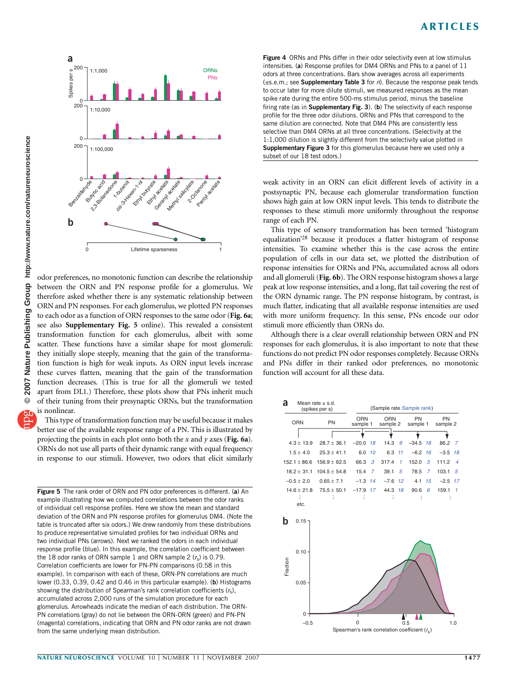

odor preferences, no monotonic function can describe the relationship between the ORN and PN response profile for a glomerulus. We therefore asked whether there is any systematic relationship between ORN and PN responses. For each glomerulus, we plotted PN responses to each odor as a function of ORN responses to the same odor (Fig. 6a; see also Supplementary Fig. 5 online). This revealed a consistent transformation function for each glomerulus, albeit with some scatter. These functions have a similar shape for most glomeruli: they initially slope steeply, meaning that the gain of the transformation function is high for weak inputs. As ORN input levels increase these curves flatten, meaning that the gain of the transformation function decreases. (This is true for all the glomeruli we tested apart from DL1.) Therefore, these plots show that PNs inherit much of their tuning from their presynaptic ORNs, but the transformation is nonlinear.

This type of transformation function may be useful because it makes better use of the available response range of a PN. This is illustrated by projecting the points in each plot onto both the x and y axes (Fig. 6a). ORNs do not use all parts of their dynamic range with equal frequency in response to our stimuli. However, two odors that elicit similarly

Figure 5 The rank order of ORN and PN odor preferences is different. (a) An example illustrating how we computed correlations between the odor ranks of individual cell response profiles. Here we show the mean and standard deviation of the ORN and PN response profiles for glomerulus DM4. (Note the table is truncated after six odors.) We drew randomly from these distributions to produce representative simulated profiles for two individual ORNs and two individual PNs (arrows). Next we ranked the odors in each individual response profile (blue). In this example, the correlation coefficient between the 18 odor ranks of ORN sample 1 and ORN sample 2  $(r_s)$  is 0.79. Correlation coefficients are lower for PN-PN comparisons (0.58 in this example). In comparison with each of these, ORN-PN correlations are much lower (0.33, 0.39, 0.42 and 0.46 in this particular example). (b) Histograms showing the distribution of Spearman's rank correlation coefficients  $(r<sub>s</sub>)$ , accumulated across 2,000 runs of the simulation procedure for each glomerulus. Arrowheads indicate the median of each distribution. The ORN-PN correlations (gray) do not lie between the ORN-ORN (green) and PN-PN (magenta) correlations, indicating that ORN and PN odor ranks are not drawn from the same underlying mean distribution.

Figure 4 ORNs and PNs differ in their odor selectivity even at low stimulus intensities. (a) Response profiles for DM4 ORNs and PNs to a panel of 11 odors at three concentrations. Bars show averages across all experiments  $(\pm s.e.m.; see **Supplementary Table 3** for *n*). Because the response peak tends$ to occur later for more dilute stimuli, we measured responses as the mean spike rate during the entire 500-ms stimulus period, minus the baseline firing rate (as in Supplementary Fig. 3). (b) The selectivity of each response profile for the three odor dilutions. ORNs and PNs that correspond to the same dilution are connected. Note that DM4 PNs are consistently less selective than DM4 ORNs at all three concentrations. (Selectivity at the 1:1,000 dilution is slightly different from the selectivity value plotted in Supplementary Figure 3 for this glomerulus because here we used only a subset of our 18 test odors.)

weak activity in an ORN can elicit different levels of activity in a postsynaptic PN, because each glomerular transformation function shows high gain at low ORN input levels. This tends to distribute the responses to these stimuli more uniformly throughout the response range of each PN.

This type of sensory transformation has been termed 'histogram equalization'[28](#page-8-0) because it produces a flatter histogram of response intensities. To examine whether this is the case across the entire population of cells in our data set, we plotted the distribution of response intensities for ORNs and PNs, accumulated across all odors and all glomeruli (Fig. 6b). The ORN response histogram shows a large peak at low response intensities, and a long, flat tail covering the rest of the ORN dynamic range. The PN response histogram, by contrast, is much flatter, indicating that all available response intensities are used with more uniform frequency. In this sense, PNs encode our odor stimuli more efficiently than ORNs do.

Although there is a clear overall relationship between ORN and PN responses for each glomerulus, it is also important to note that these functions do not predict PN odor responses completely. Because ORNs and PNs differ in their ranked odor preferences, no monotonic function will account for all these data.

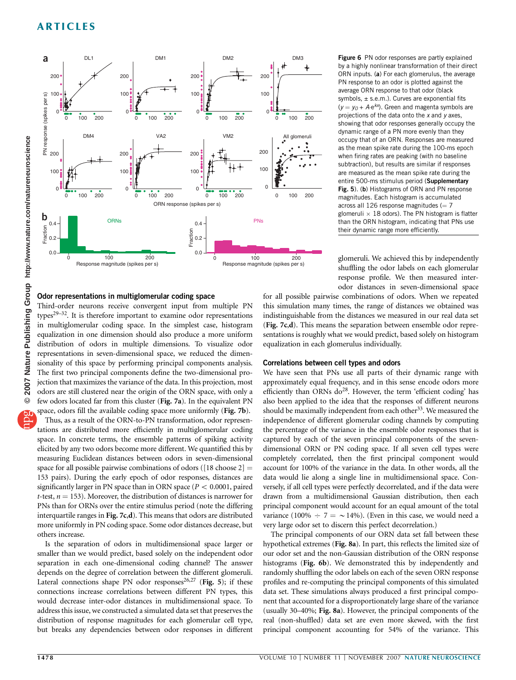

by a highly nonlinear transformation of their direct ORN inputs. (a) For each glomerulus, the average PN response to an odor is plotted against the average ORN response to that odor (black symbols,  $\pm$  s.e.m.). Curves are exponential fits  $(y = y<sub>0</sub> + A \cdot e<sup>kx</sup>)$ . Green and magenta symbols are projections of the data onto the  $x$  and  $y$  axes, showing that odor responses generally occupy the dynamic range of a PN more evenly than they occupy that of an ORN. Responses are measured as the mean spike rate during the 100-ms epoch when firing rates are peaking (with no baseline subtraction), but results are similar if responses are measured as the mean spike rate during the entire 500-ms stimulus period (Supplementary Fig. 5). (b) Histograms of ORN and PN response magnitudes. Each histogram is accumulated across all 126 response magnitudes ( $= 7$ glomeruli  $\times$  18 odors). The PN histogram is flatter than the ORN histogram, indicating that PNs use their dynamic range more efficiently.

glomeruli. We achieved this by independently shuffling the odor labels on each glomerular response profile. We then measured interodor distances in seven-dimensional space

# Odor representations in multiglomerular coding space

Third-order neurons receive convergent input from multiple PN types $29-32$ . It is therefore important to examine odor representations in multiglomerular coding space. In the simplest case, histogram equalization in one dimension should also produce a more uniform distribution of odors in multiple dimensions. To visualize odor representations in seven-dimensional space, we reduced the dimensionality of this space by performing principal components analysis. The first two principal components define the two-dimensional projection that maximizes the variance of the data. In this projection, most odors are still clustered near the origin of the ORN space, with only a few odors located far from this cluster (Fig. 7a). In the equivalent PN space, odors fill the available coding space more uniformly (Fig. 7b).

Thus, as a result of the ORN-to-PN transformation, odor representations are distributed more efficiently in multiglomerular coding space. In concrete terms, the ensemble patterns of spiking activity elicited by any two odors become more different. We quantified this by measuring Euclidean distances between odors in seven-dimensional space for all possible pairwise combinations of odors ( $[18$  choose  $2] =$ 153 pairs). During the early epoch of odor responses, distances are significantly larger in PN space than in ORN space ( $P < 0.0001$ , paired t-test,  $n = 153$ ). Moreover, the distribution of distances is narrower for PNs than for ORNs over the entire stimulus period (note the differing interquartile ranges in Fig. 7c,d). This means that odors are distributed more uniformly in PN coding space. Some odor distances decrease, but others increase.

Is the separation of odors in multidimensional space larger or smaller than we would predict, based solely on the independent odor separation in each one-dimensional coding channel? The answer depends on the degree of correlation between the different glomeruli. Lateral connections shape PN odor responses<sup>26,27</sup> (Fig. 5); if these connections increase correlations between different PN types, this would decrease inter-odor distances in multidimensional space. To address this issue, we constructed a simulated data set that preserves the distribution of response magnitudes for each glomerular cell type, but breaks any dependencies between odor responses in different

for all possible pairwise combinations of odors. When we repeated this simulation many times, the range of distances we obtained was indistinguishable from the distances we measured in our real data set (Fig. 7c,d). This means the separation between ensemble odor representations is roughly what we would predict, based solely on histogram equalization in each glomerulus individually.

# Correlations between cell types and odors

We have seen that PNs use all parts of their dynamic range with approximately equal frequency, and in this sense encode odors more efficiently than ORNs  $do^{28}$ . However, the term 'efficient coding' has also been applied to the idea that the responses of different neurons should be maximally independent from each other<sup>33</sup>. We measured the independence of different glomerular coding channels by computing the percentage of the variance in the ensemble odor responses that is captured by each of the seven principal components of the sevendimensional ORN or PN coding space. If all seven cell types were completely correlated, then the first principal component would account for 100% of the variance in the data. In other words, all the data would lie along a single line in multidimensional space. Conversely, if all cell types were perfectly decorrelated, and if the data were drawn from a multidimensional Gaussian distribution, then each principal component would account for an equal amount of the total variance (100%  $\div$  7 =  $\sim$  14%). (Even in this case, we would need a very large odor set to discern this perfect decorrelation.)

The principal components of our ORN data set fall between these hypothetical extremes (Fig. 8a). In part, this reflects the limited size of our odor set and the non-Gaussian distribution of the ORN response histograms (Fig. 6b). We demonstrated this by independently and randomly shuffling the odor labels on each of the seven ORN response profiles and re-computing the principal components of this simulated data set. These simulations always produced a first principal component that accounted for a disproportionately large share of the variance (usually 30–40%; Fig. 8a). However, the principal components of the real (non-shuffled) data set are even more skewed, with the first principal component accounting for 54% of the variance. This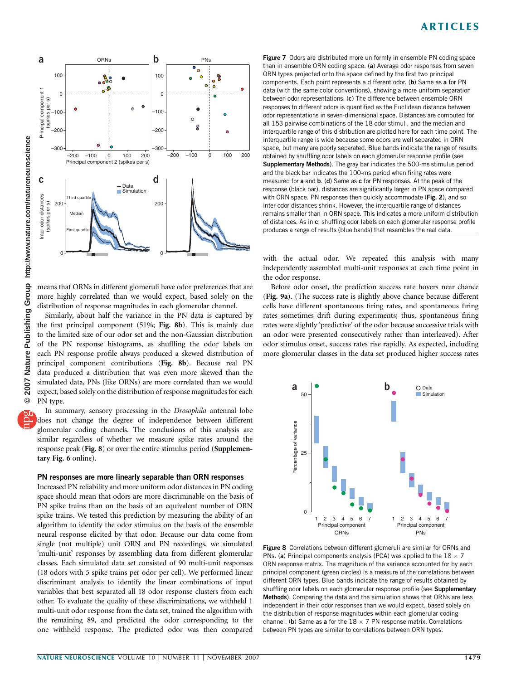# ARTICLES



means that ORNs in different glomeruli have odor preferences that are more highly correlated than we would expect, based solely on the distribution of response magnitudes in each glomerular channel.

Similarly, about half the variance in the PN data is captured by the first principal component (51%; Fig. 8b). This is mainly due to the limited size of our odor set and the non-Gaussian distribution of the PN response histograms, as shuffling the odor labels on each PN response profile always produced a skewed distribution of principal component contributions (Fig. 8b). Because real PN data produced a distribution that was even more skewed than the simulated data, PNs (like ORNs) are more correlated than we would expect, based solely on the distribution of response magnitudes for each PN type.

In summary, sensory processing in the Drosophila antennal lobe does not change the degree of independence between different glomerular coding channels. The conclusions of this analysis are similar regardless of whether we measure spike rates around the response peak (Fig. 8) or over the entire stimulus period (Supplementary Fig. 6 online).

#### PN responses are more linearly separable than ORN responses

Increased PN reliability and more uniform odor distances in PN coding space should mean that odors are more discriminable on the basis of PN spike trains than on the basis of an equivalent number of ORN spike trains. We tested this prediction by measuring the ability of an algorithm to identify the odor stimulus on the basis of the ensemble neural response elicited by that odor. Because our data come from single (not multiple) unit ORN and PN recordings, we simulated 'multi-unit' responses by assembling data from different glomerular classes. Each simulated data set consisted of 90 multi-unit responses (18 odors with 5 spike trains per odor per cell). We performed linear discriminant analysis to identify the linear combinations of input variables that best separated all 18 odor response clusters from each other. To evaluate the quality of these discriminations, we withheld 1 multi-unit odor response from the data set, trained the algorithm with the remaining 89, and predicted the odor corresponding to the one withheld response. The predicted odor was then compared

Figure 7 Odors are distributed more uniformly in ensemble PN coding space than in ensemble ORN coding space. (a) Average odor responses from seven ORN types projected onto the space defined by the first two principal components. Each point represents a different odor. (b) Same as a for PN data (with the same color conventions), showing a more uniform separation between odor representations. (c) The difference between ensemble ORN responses to different odors is quantified as the Euclidean distance between odor representations in seven-dimensional space. Distances are computed for all 153 pairwise combinations of the 18 odor stimuli, and the median and interquartile range of this distribution are plotted here for each time point. The interquartile range is wide because some odors are well separated in ORN space, but many are poorly separated. Blue bands indicate the range of results obtained by shuffling odor labels on each glomerular response profile (see Supplementary Methods). The gray bar indicates the 500-ms stimulus period and the black bar indicates the 100-ms period when firing rates were measured for a and b. (d) Same as c for PN responses. At the peak of the response (black bar), distances are significantly larger in PN space compared with ORN space. PN responses then quickly accommodate (Fig. 2), and so inter-odor distances shrink. However, the interquartile range of distances remains smaller than in ORN space. This indicates a more uniform distribution of distances. As in c, shuffling odor labels on each glomerular response profile produces a range of results (blue bands) that resembles the real data.

with the actual odor. We repeated this analysis with many independently assembled multi-unit responses at each time point in the odor response.

Before odor onset, the prediction success rate hovers near chance (Fig. 9a). (The success rate is slightly above chance because different cells have different spontaneous firing rates, and spontaneous firing rates sometimes drift during experiments; thus, spontaneous firing rates were slightly 'predictive' of the odor because successive trials with an odor were presented consecutively rather than interleaved). After odor stimulus onset, success rates rise rapidly. As expected, including more glomerular classes in the data set produced higher success rates



Figure 8 Correlations between different glomeruli are similar for ORNs and PNs. (a) Principal components analysis (PCA) was applied to the  $18 \times 7$ ORN response matrix. The magnitude of the variance accounted for by each principal component (green circles) is a measure of the correlations between different ORN types. Blue bands indicate the range of results obtained by shuffling odor labels on each glomerular response profile (see Supplementary Methods). Comparing the data and the simulation shows that ORNs are less independent in their odor responses than we would expect, based solely on the distribution of response magnitudes within each glomerular coding channel. (b) Same as a for the  $18 \times 7$  PN response matrix. Correlations between PN types are similar to correlations between ORN types.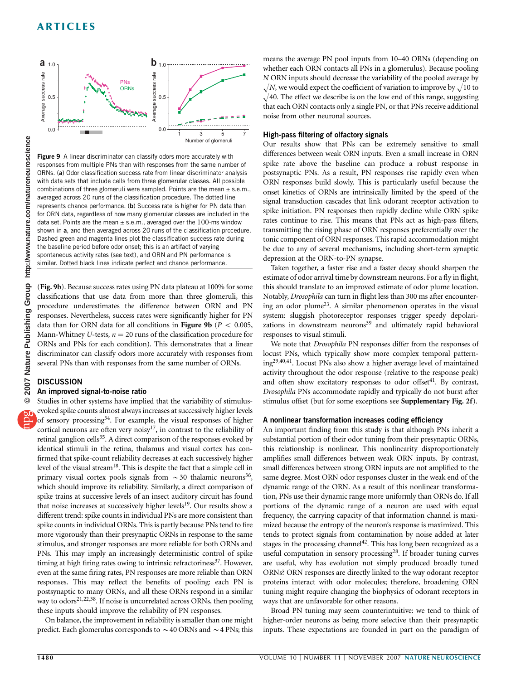

Figure 9 A linear discriminator can classify odors more accurately with responses from multiple PNs than with responses from the same number of ORNs. (a) Odor classification success rate from linear discriminator analysis with data sets that include cells from three glomerular classes. All possible combinations of three glomeruli were sampled. Points are the mean  $\pm$  s.e.m., averaged across 20 runs of the classification procedure. The dotted line represents chance performance. (b) Success rate is higher for PN data than for ORN data, regardless of how many glomerular classes are included in the data set. Points are the mean  $\pm$  s.e.m., averaged over the 100-ms window shown in a, and then averaged across 20 runs of the classification procedure. Dashed green and magenta lines plot the classification success rate during the baseline period before odor onset; this is an artifact of varying spontaneous activity rates (see text), and ORN and PN performance is similar. Dotted black lines indicate perfect and chance performance.

(Fig. 9b). Because success rates using PN data plateau at 100% for some classifications that use data from more than three glomeruli, this procedure underestimates the difference between ORN and PN responses. Nevertheless, success rates were significantly higher for PN data than for ORN data for all conditions in Figure 9b ( $P < 0.005$ , Mann-Whitney U-tests,  $n = 20$  runs of the classification procedure for ORNs and PNs for each condition). This demonstrates that a linear discriminator can classify odors more accurately with responses from several PNs than with responses from the same number of ORNs.

#### **DISCUSSION**

#### An improved signal-to-noise ratio

Studies in other systems have implied that the variability of stimulusevoked spike counts almost always increases at successively higher levels of sensory processing<sup>34</sup>. For example, the visual responses of higher cortical neurons are often very noisy<sup>[17](#page-8-0)</sup>, in contrast to the reliability of retinal ganglion cells<sup>35</sup>. A direct comparison of the responses evoked by identical stimuli in the retina, thalamus and visual cortex has confirmed that spike-count reliability decreases at each successively higher level of the visual stream<sup>[18](#page-8-0)</sup>. This is despite the fact that a simple cell in primary visual cortex pools signals from  $\sim$  30 thalamic neurons<sup>36</sup>, which should improve its reliability. Similarly, a direct comparison of spike trains at successive levels of an insect auditory circuit has found that noise increases at successively higher levels<sup>[19](#page-8-0)</sup>. Our results show a different trend: spike counts in individual PNs are more consistent than spike counts in individual ORNs. This is partly because PNs tend to fire more vigorously than their presynaptic ORNs in response to the same stimulus, and stronger responses are more reliable for both ORNs and PNs. This may imply an increasingly deterministic control of spike timing at high firing rates owing to intrinsic refractoriness<sup>37</sup>. However, even at the same firing rates, PN responses are more reliable than ORN responses. This may reflect the benefits of pooling: each PN is postsynaptic to many ORNs, and all these ORNs respond in a similar way to odors<sup>21,22,38</sup>. If noise is uncorrelated across ORNs, then pooling these inputs should improve the reliability of PN responses.

On balance, the improvement in reliability is smaller than one might predict. Each glomerulus corresponds to  $\sim$  40 ORNs and  $\sim$  4 PNs; this

means the average PN pool inputs from 10–40 ORNs (depending on whether each ORN contacts all PNs in a glomerulus). Because pooling N ORN inputs should decrease the variability of the pooled average by  $\sqrt{N}$ , we would expect the coefficient of variation to improve by  $\sqrt{10}$  to  $\sqrt{40}$ . The effect we describe is on the low end of this range, suggesting that each ORN contacts only a single PN, or that PNs receive additional noise from other neuronal sources.

#### High-pass filtering of olfactory signals

Our results show that PNs can be extremely sensitive to small differences between weak ORN inputs. Even a small increase in ORN spike rate above the baseline can produce a robust response in postsynaptic PNs. As a result, PN responses rise rapidly even when ORN responses build slowly. This is particularly useful because the onset kinetics of ORNs are intrinsically limited by the speed of the signal transduction cascades that link odorant receptor activation to spike initiation. PN responses then rapidly decline while ORN spike rates continue to rise. This means that PNs act as high-pass filters, transmitting the rising phase of ORN responses preferentially over the tonic component of ORN responses. This rapid accommodation might be due to any of several mechanisms, including short-term synaptic depression at the ORN-to-PN synapse.

Taken together, a faster rise and a faster decay should sharpen the estimate of odor arrival time by downstream neurons. For a fly in flight, this should translate to an improved estimate of odor plume location. Notably, Drosophila can turn in flight less than 300 ms after encounter-ing an odor plume<sup>[23](#page-8-0)</sup>. A similar phenomenon operates in the visual system: sluggish photoreceptor responses trigger speedy depolarizations in downstream neurons<sup>39</sup> and ultimately rapid behavioral responses to visual stimuli.

We note that *Drosophila* PN responses differ from the responses of locust PNs, which typically show more complex temporal patternin[g29,40,41](#page-8-0). Locust PNs also show a higher average level of maintained activity throughout the odor response (relative to the response peak) and often show excitatory responses to odor offset<sup>41</sup>. By contrast, Drosophila PNs accommodate rapidly and typically do not burst after stimulus offset (but for some exceptions see Supplementary Fig. 2f).

#### A nonlinear transformation increases coding efficiency

An important finding from this study is that although PNs inherit a substantial portion of their odor tuning from their presynaptic ORNs, this relationship is nonlinear. This nonlinearity disproportionately amplifies small differences between weak ORN inputs. By contrast, small differences between strong ORN inputs are not amplified to the same degree. Most ORN odor responses cluster in the weak end of the dynamic range of the ORN. As a result of this nonlinear transformation, PNs use their dynamic range more uniformly than ORNs do. If all portions of the dynamic range of a neuron are used with equal frequency, the carrying capacity of that information channel is maximized because the entropy of the neuron's response is maximized. This tends to protect signals from contamination by noise added at later stages in the processing channel<sup>42</sup>. This has long been recognized as a useful computation in sensory processing<sup>[28](#page-8-0)</sup>. If broader tuning curves are useful, why has evolution not simply produced broadly tuned ORNs? ORN responses are directly linked to the way odorant receptor proteins interact with odor molecules; therefore, broadening ORN tuning might require changing the biophysics of odorant receptors in ways that are unfavorable for other reasons.

Broad PN tuning may seem counterintuitive: we tend to think of higher-order neurons as being more selective than their presynaptic inputs. These expectations are founded in part on the paradigm of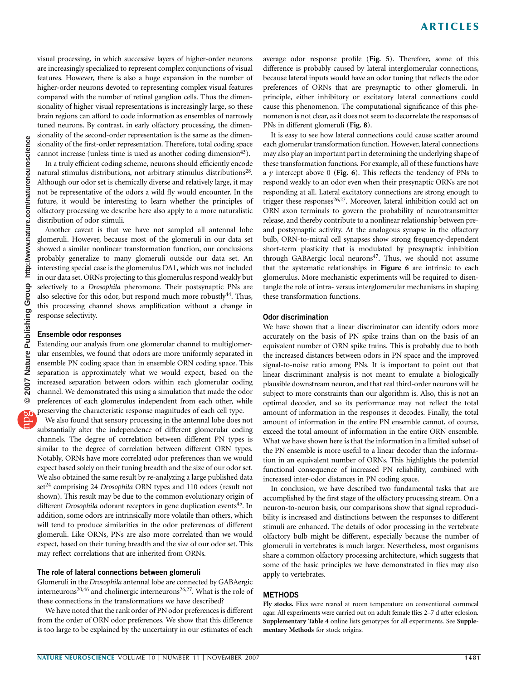visual processing, in which successive layers of higher-order neurons are increasingly specialized to represent complex conjunctions of visual features. However, there is also a huge expansion in the number of higher-order neurons devoted to representing complex visual features compared with the number of retinal ganglion cells. Thus the dimensionality of higher visual representations is increasingly large, so these brain regions can afford to code information as ensembles of narrowly tuned neurons. By contrast, in early olfactory processing, the dimensionality of the second-order representation is the same as the dimensionality of the first-order representation. Therefore, total coding space cannot increase (unless time is used as another coding dimension<sup>43</sup>).

In a truly efficient coding scheme, neurons should efficiently encode natural stimulus distributions, not arbitrary stimulus distributions<sup>28</sup>. Although our odor set is chemically diverse and relatively large, it may not be representative of the odors a wild fly would encounter. In the future, it would be interesting to learn whether the principles of olfactory processing we describe here also apply to a more naturalistic distribution of odor stimuli.

Another caveat is that we have not sampled all antennal lobe glomeruli. However, because most of the glomeruli in our data set showed a similar nonlinear transformation function, our conclusions probably generalize to many glomeruli outside our data set. An interesting special case is the glomerulus DA1, which was not included in our data set. ORNs projecting to this glomerulus respond weakly but selectively to a *Drosophila* pheromone. Their postsynaptic PNs are also selective for this odor, but respond much more robustly $44$ . Thus, this processing channel shows amplification without a change in response selectivity.

## Ensemble odor responses

Extending our analysis from one glomerular channel to multiglomerular ensembles, we found that odors are more uniformly separated in ensemble PN coding space than in ensemble ORN coding space. This separation is approximately what we would expect, based on the increased separation between odors within each glomerular coding channel. We demonstrated this using a simulation that made the odor preferences of each glomerulus independent from each other, while preserving the characteristic response magnitudes of each cell type.

We also found that sensory processing in the antennal lobe does not substantially alter the independence of different glomerular coding channels. The degree of correlation between different PN types is similar to the degree of correlation between different ORN types. Notably, ORNs have more correlated odor preferences than we would expect based solely on their tuning breadth and the size of our odor set. We also obtained the same result by re-analyzing a large published data set<sup>24</sup> comprising 24 Drosophila ORN types and 110 odors (result not shown). This result may be due to the common evolutionary origin of different Drosophila odorant receptors in gene duplication events<sup>45</sup>. In addition, some odors are intrinsically more volatile than others, which will tend to produce similarities in the odor preferences of different glomeruli. Like ORNs, PNs are also more correlated than we would expect, based on their tuning breadth and the size of our odor set. This may reflect correlations that are inherited from ORNs.

#### The role of lateral connections between glomeruli

Glomeruli in the Drosophila antennal lobe are connected by GABAergic interneurons<sup>20,46</sup> and cholinergic interneurons<sup>26,27</sup>. What is the role of these connections in the transformations we have described?

We have noted that the rank order of PN odor preferences is different from the order of ORN odor preferences. We show that this difference is too large to be explained by the uncertainty in our estimates of each

average odor response profile (Fig. 5). Therefore, some of this difference is probably caused by lateral interglomerular connections, because lateral inputs would have an odor tuning that reflects the odor preferences of ORNs that are presynaptic to other glomeruli. In principle, either inhibitory or excitatory lateral connections could cause this phenomenon. The computational significance of this phenomenon is not clear, as it does not seem to decorrelate the responses of PNs in different glomeruli (Fig. 8).

It is easy to see how lateral connections could cause scatter around each glomerular transformation function. However, lateral connections may also play an important part in determining the underlying shape of these transformation functions. For example, all of these functions have a  $y$  intercept above 0 (Fig. 6). This reflects the tendency of PNs to respond weakly to an odor even when their presynaptic ORNs are not responding at all. Lateral excitatory connections are strong enough to trigger these responses<sup>26,27</sup>. Moreover, lateral inhibition could act on ORN axon terminals to govern the probability of neurotransmitter release, and thereby contribute to a nonlinear relationship between preand postsynaptic activity. At the analogous synapse in the olfactory bulb, ORN-to-mitral cell synapses show strong frequency-dependent short-term plasticity that is modulated by presynaptic inhibition through GABAergic local neurons<sup>47</sup>. Thus, we should not assume that the systematic relationships in Figure 6 are intrinsic to each glomerulus. More mechanistic experiments will be required to disentangle the role of intra- versus interglomerular mechanisms in shaping these transformation functions.

# Odor discrimination

We have shown that a linear discriminator can identify odors more accurately on the basis of PN spike trains than on the basis of an equivalent number of ORN spike trains. This is probably due to both the increased distances between odors in PN space and the improved signal-to-noise ratio among PNs. It is important to point out that linear discriminant analysis is not meant to emulate a biologically plausible downstream neuron, and that real third-order neurons will be subject to more constraints than our algorithm is. Also, this is not an optimal decoder, and so its performance may not reflect the total amount of information in the responses it decodes. Finally, the total amount of information in the entire PN ensemble cannot, of course, exceed the total amount of information in the entire ORN ensemble. What we have shown here is that the information in a limited subset of the PN ensemble is more useful to a linear decoder than the information in an equivalent number of ORNs. This highlights the potential functional consequence of increased PN reliability, combined with increased inter-odor distances in PN coding space.

In conclusion, we have described two fundamental tasks that are accomplished by the first stage of the olfactory processing stream. On a neuron-to-neuron basis, our comparisons show that signal reproducibility is increased and distinctions between the responses to different stimuli are enhanced. The details of odor processing in the vertebrate olfactory bulb might be different, especially because the number of glomeruli in vertebrates is much larger. Nevertheless, most organisms share a common olfactory processing architecture, which suggests that some of the basic principles we have demonstrated in flies may also apply to vertebrates.

# METHODS

Fly stocks. Flies were reared at room temperature on conventional cornmeal agar. All experiments were carried out on adult female flies 2–7 d after eclosion. Supplementary Table 4 online lists genotypes for all experiments. See Supplementary Methods for stock origins.